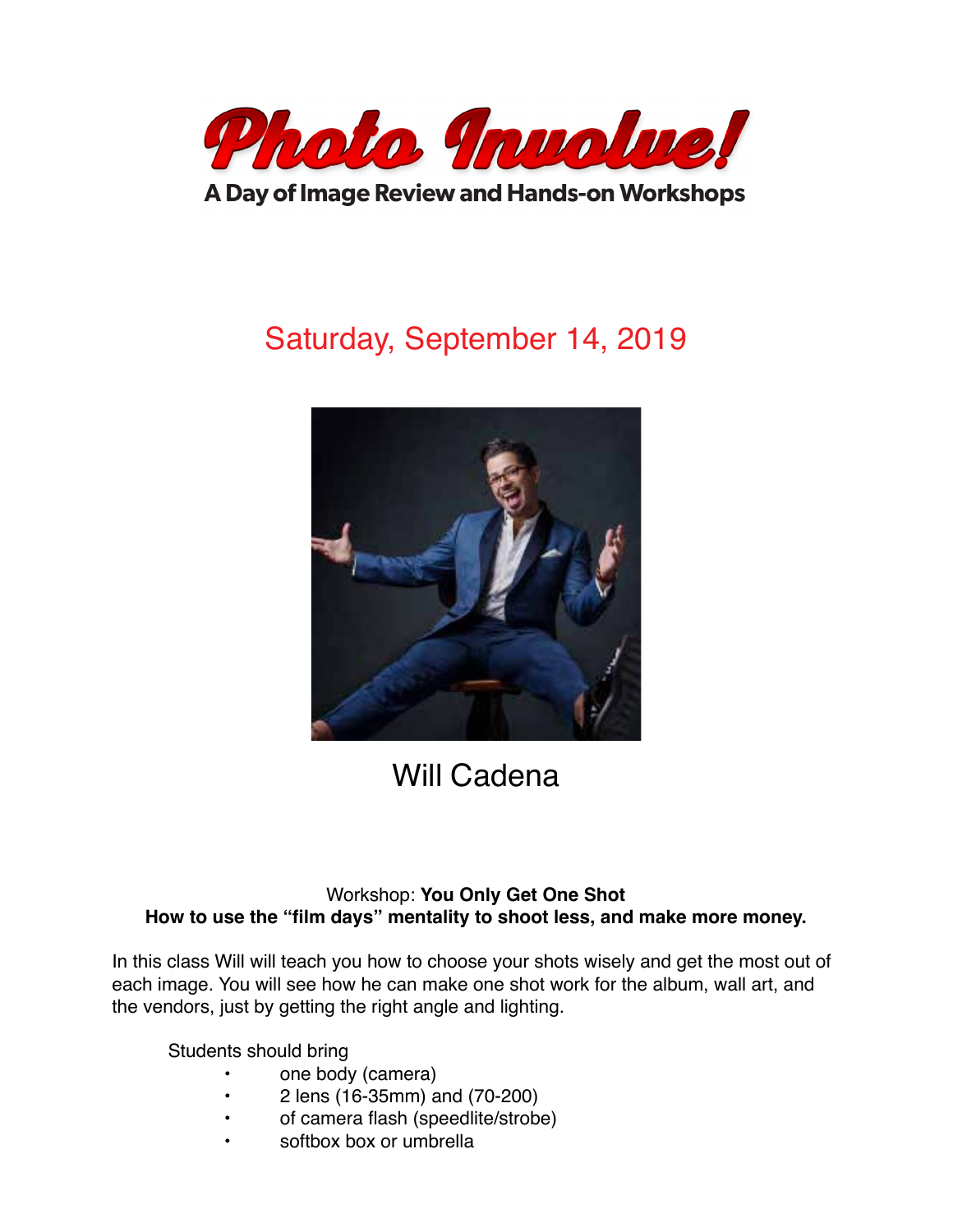

A Day of Image Review and Hands-on Workshops

# Saturday, September 14, 2019



## Will Cadena

### Workshop: **You Only Get One Shot How to use the "film days" mentality to shoot less, and make more money.**

In this class Will will teach you how to choose your shots wisely and get the most out of each image. You will see how he can make one shot work for the album, wall art, and the vendors, just by getting the right angle and lighting.

Students should bring

- one body (camera)
- 2 lens (16-35mm) and (70-200)
- of camera flash (speedlite/strobe)
- softbox box or umbrella